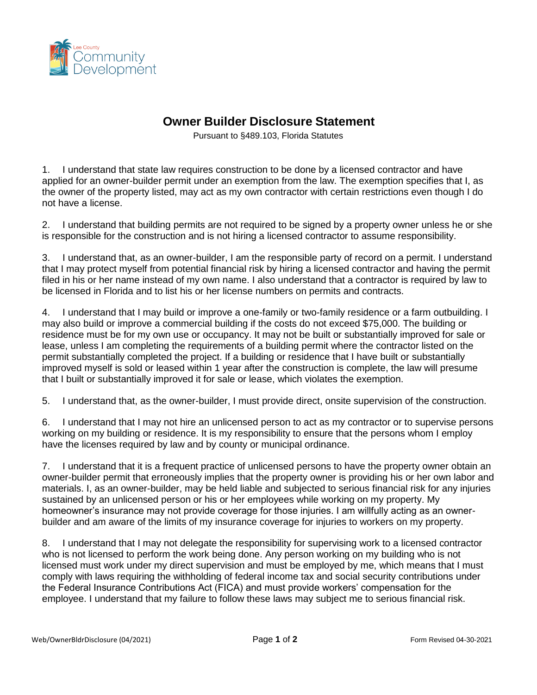

## **Owner Builder Disclosure Statement**

Pursuant to §489.103, Florida Statutes

1. I understand that state law requires construction to be done by a licensed contractor and have applied for an owner-builder permit under an exemption from the law. The exemption specifies that I, as the owner of the property listed, may act as my own contractor with certain restrictions even though I do not have a license.

2. I understand that building permits are not required to be signed by a property owner unless he or she is responsible for the construction and is not hiring a licensed contractor to assume responsibility.

3. I understand that, as an owner-builder, I am the responsible party of record on a permit. I understand that I may protect myself from potential financial risk by hiring a licensed contractor and having the permit filed in his or her name instead of my own name. I also understand that a contractor is required by law to be licensed in Florida and to list his or her license numbers on permits and contracts.

4. I understand that I may build or improve a one-family or two-family residence or a farm outbuilding. I may also build or improve a commercial building if the costs do not exceed \$75,000. The building or residence must be for my own use or occupancy. It may not be built or substantially improved for sale or lease, unless I am completing the requirements of a building permit where the contractor listed on the permit substantially completed the project. If a building or residence that I have built or substantially improved myself is sold or leased within 1 year after the construction is complete, the law will presume that I built or substantially improved it for sale or lease, which violates the exemption.

5. I understand that, as the owner-builder, I must provide direct, onsite supervision of the construction.

6. I understand that I may not hire an unlicensed person to act as my contractor or to supervise persons working on my building or residence. It is my responsibility to ensure that the persons whom I employ have the licenses required by law and by county or municipal ordinance.

7. I understand that it is a frequent practice of unlicensed persons to have the property owner obtain an owner-builder permit that erroneously implies that the property owner is providing his or her own labor and materials. I, as an owner-builder, may be held liable and subjected to serious financial risk for any injuries sustained by an unlicensed person or his or her employees while working on my property. My homeowner's insurance may not provide coverage for those injuries. I am willfully acting as an ownerbuilder and am aware of the limits of my insurance coverage for injuries to workers on my property.

8. I understand that I may not delegate the responsibility for supervising work to a licensed contractor who is not licensed to perform the work being done. Any person working on my building who is not licensed must work under my direct supervision and must be employed by me, which means that I must comply with laws requiring the withholding of federal income tax and social security contributions under the Federal Insurance Contributions Act (FICA) and must provide workers' compensation for the employee. I understand that my failure to follow these laws may subject me to serious financial risk.